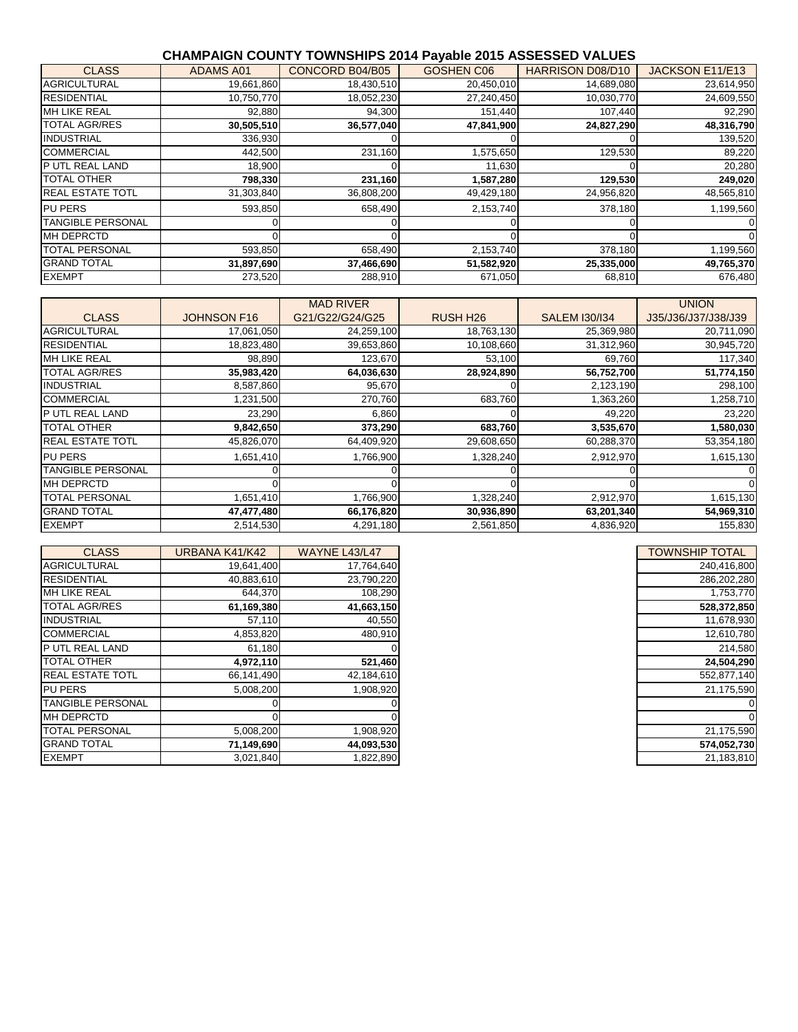#### **CHAMPAIGN COUNTY TOWNSHIPS 2014 Payable 2015 ASSESSED VALUES**

| <b>CLASS</b>             | <b>ADAMS A01</b> | CONCORD B04/B05 | GOSHEN C06 | <b>HARRISON D08/D10</b> | JACKSON E11/E13 |
|--------------------------|------------------|-----------------|------------|-------------------------|-----------------|
| <b>AGRICULTURAL</b>      | 19,661,860       | 18,430,510      | 20,450,010 | 14,689,080              | 23,614,950      |
| <b>RESIDENTIAL</b>       | 10,750,770       | 18,052,230      | 27,240,450 | 10,030,770              | 24,609,550      |
| MH LIKE REAL             | 92,880           | 94,300          | 151,440    | 107,440                 | 92,290          |
| <b>TOTAL AGR/RES</b>     | 30,505,510       | 36,577,040      | 47,841,900 | 24,827,290              | 48,316,790      |
| <b>INDUSTRIAL</b>        | 336,930          |                 |            |                         | 139,520         |
| <b>COMMERCIAL</b>        | 442,500          | 231,160         | 1,575,650  | 129,530                 | 89,220          |
| P UTL REAL LAND          | 18,900           |                 | 11,630     |                         | 20,280          |
| <b>TOTAL OTHER</b>       | 798,330          | 231,160         | 1,587,280  | 129,530                 | 249,020         |
| <b>REAL ESTATE TOTL</b>  | 31,303,840       | 36,808,200      | 49,429,180 | 24,956,820              | 48,565,810      |
| <b>PU PERS</b>           | 593,850          | 658,490         | 2,153,740  | 378,180                 | 1,199,560       |
| <b>TANGIBLE PERSONAL</b> |                  |                 |            |                         |                 |
| <b>MH DEPRCTD</b>        |                  |                 |            |                         |                 |
| <b>TOTAL PERSONAL</b>    | 593,850          | 658,490         | 2,153,740  | 378,180                 | 1,199,560       |
| <b>GRAND TOTAL</b>       | 31,897,690       | 37,466,690      | 51,582,920 | 25,335,000              | 49,765,370      |
| <b>EXEMPT</b>            | 273,520          | 288,910         | 671,050    | 68,810                  | 676,480         |

|                          |                    | <b>MAD RIVER</b> |                 |                      | <b>UNION</b>        |
|--------------------------|--------------------|------------------|-----------------|----------------------|---------------------|
| <b>CLASS</b>             | <b>JOHNSON F16</b> | G21/G22/G24/G25  | <b>RUSH H26</b> | <b>SALEM I30/I34</b> | J35/J36/J37/J38/J39 |
| <b>AGRICULTURAL</b>      | 17,061,050         | 24,259,100       | 18,763,130      | 25,369,980           | 20,711,090          |
| <b>RESIDENTIAL</b>       | 18,823,480         | 39,653,860       | 10,108,660      | 31,312,960           | 30,945,720          |
| <b>MH LIKE REAL</b>      | 98,890             | 123,670          | 53,100          | 69,760               | 117,340             |
| <b>TOTAL AGR/RES</b>     | 35,983,420         | 64,036,630       | 28,924,890      | 56,752,700           | 51,774,150          |
| <b>INDUSTRIAL</b>        | 8,587,860          | 95,670           |                 | 2,123,190            | 298,100             |
| <b>COMMERCIAL</b>        | 1,231,500          | 270,760          | 683,760         | 1,363,260            | 1,258,710           |
| P UTL REAL LAND          | 23,290             | 6,860            |                 | 49,220               | 23,220              |
| <b>TOTAL OTHER</b>       | 9,842,650          | 373,290          | 683,760         | 3,535,670            | 1,580,030           |
| <b>REAL ESTATE TOTL</b>  | 45,826,070         | 64,409,920       | 29,608,650      | 60,288,370           | 53,354,180          |
| <b>PU PERS</b>           | 1,651,410          | 1,766,900        | 1,328,240       | 2,912,970            | 1,615,130           |
| <b>TANGIBLE PERSONAL</b> |                    |                  |                 |                      | $\Omega$            |
| <b>MH DEPRCTD</b>        |                    |                  |                 |                      | $\Omega$            |
| <b>TOTAL PERSONAL</b>    | 1,651,410          | 1,766,900        | 1,328,240       | 2,912,970            | 1,615,130           |
| <b>GRAND TOTAL</b>       | 47,477,480         | 66,176,820       | 30,936,890      | 63,201,340           | 54,969,310          |
| <b>EXEMPT</b>            | 2,514,530          | 4,291,180        | 2,561,850       | 4,836,920            | 155,830             |

| <b>CLASS</b>             | URBANA K41/K42 | <b>WAYNE L43/L47</b> |
|--------------------------|----------------|----------------------|
| <b>AGRICULTURAL</b>      | 19,641,400     | 17,764,640           |
| <b>RESIDENTIAL</b>       | 40,883,610     | 23,790,220           |
| <b>MH LIKE REAL</b>      | 644,370        | 108,290              |
| <b>TOTAL AGR/RES</b>     | 61,169,380     | 41,663,150           |
| <b>INDUSTRIAL</b>        | 57,110         | 40,550               |
| <b>COMMERCIAL</b>        | 4,853,820      | 480,910              |
| <b>PUTL REAL LAND</b>    | 61,180         |                      |
| <b>TOTAL OTHER</b>       | 4,972,110      | 521,460              |
| <b>REAL ESTATE TOTL</b>  | 66,141,490     | 42,184,610           |
| <b>PU PERS</b>           | 5,008,200      | 1,908,920            |
| <b>TANGIBLE PERSONAL</b> |                |                      |
| <b>MH DEPRCTD</b>        |                |                      |
| <b>TOTAL PERSONAL</b>    | 5,008,200      | 1,908,920            |
| <b>GRAND TOTAL</b>       | 71,149,690     | 44,093,530           |
| <b>EXEMPT</b>            | 3,021,840      | 1,822,890            |

| TOWNSHIP TOTAL |
|----------------|
| 240,416,800    |
| 286,202,280    |
| 1,753,770      |
| 528,372,850    |
| 11.678.930     |
| 12,610,780     |
| 214.580        |
| 24,504,290     |
| 552.877.140    |
| 21,175,590     |
|                |
|                |
| 21,175,590     |
| 574,052,730    |
| 21,183,810     |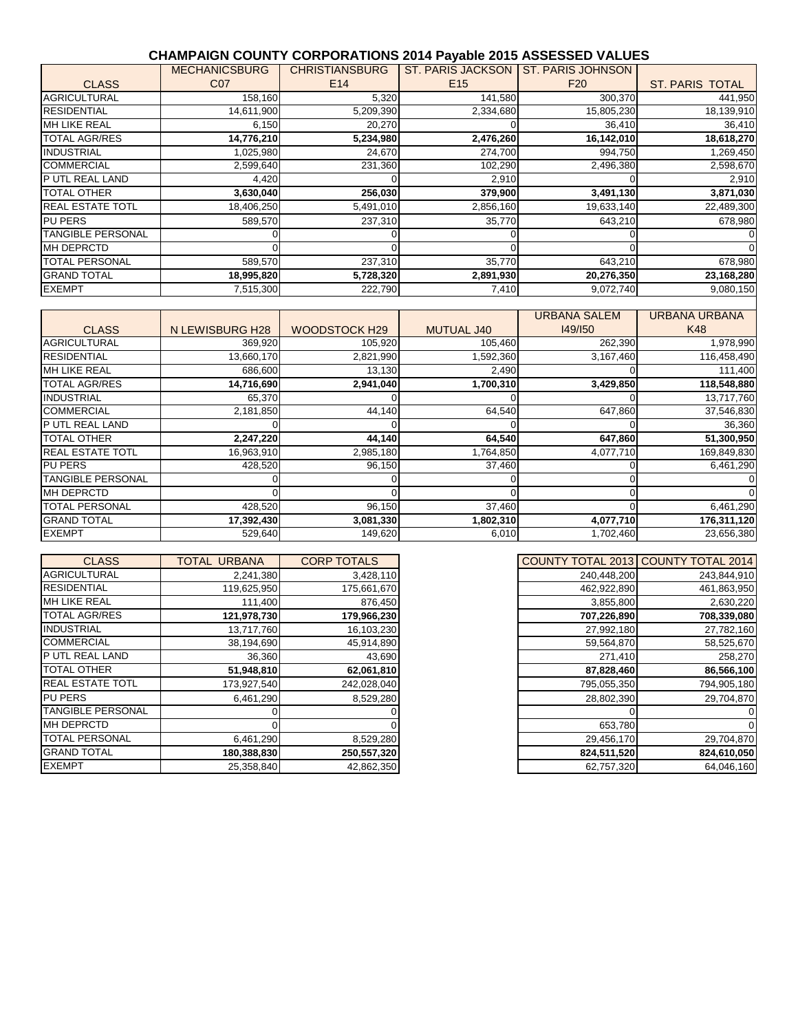### **CHAMPAIGN COUNTY CORPORATIONS 2014 Payable 2015 ASSESSED VALUES**

|                          | <b>MECHANICSBURG</b> | <b>CHRISTIANSBURG</b> | <b>ST. PARIS JACKSON</b> | <b>ST. PARIS JOHNSON</b> |                        |
|--------------------------|----------------------|-----------------------|--------------------------|--------------------------|------------------------|
| <b>CLASS</b>             | C <sub>07</sub>      | E <sub>14</sub>       | E <sub>15</sub>          | F <sub>20</sub>          | <b>ST. PARIS TOTAL</b> |
| <b>AGRICULTURAL</b>      | 158,160              | 5,320                 | 141,580                  | 300,370                  | 441,950                |
| <b>RESIDENTIAL</b>       | 14,611,900           | 5,209,390             | 2,334,680                | 15,805,230               | 18,139,910             |
| <b>MH LIKE REAL</b>      | 6,150                | 20,270                |                          | 36,410                   | 36,410                 |
| <b>TOTAL AGR/RES</b>     | 14,776,210           | 5,234,980             | 2,476,260                | 16,142,010               | 18,618,270             |
| <b>INDUSTRIAL</b>        | 1,025,980            | 24,670                | 274,700                  | 994,750                  | 1,269,450              |
| <b>COMMERCIAL</b>        | 2,599,640            | 231,360               | 102,290                  | 2,496,380                | 2,598,670              |
| P UTL REAL LAND          | 4,420                |                       | 2,910                    |                          | 2,910                  |
| <b>TOTAL OTHER</b>       | 3,630,040            | 256,030               | 379,900                  | 3,491,130                | 3,871,030              |
| <b>REAL ESTATE TOTL</b>  | 18,406,250           | 5,491,010             | 2,856,160                | 19,633,140               | 22,489,300             |
| <b>PU PERS</b>           | 589,570              | 237,310               | 35,770                   | 643,210                  | 678,980                |
| <b>TANGIBLE PERSONAL</b> |                      |                       |                          |                          |                        |
| <b>MH DEPRCTD</b>        |                      |                       |                          |                          | $\Omega$               |
| <b>TOTAL PERSONAL</b>    | 589,570              | 237,310               | 35,770                   | 643,210                  | 678,980                |
| <b>GRAND TOTAL</b>       | 18,995,820           | 5,728,320             | 2,891,930                | 20,276,350               | 23,168,280             |
| <b>EXEMPT</b>            | 7,515,300            | 222,790               | 7,410                    | 9,072,740                | 9,080,150              |

| <b>CLASS</b>             | N LEWISBURG H28 | <b>WOODSTOCK H29</b> | <b>MUTUAL J40</b> | <b>URBANA SALEM</b><br>149/150 | <b>URBANA URBANA</b><br>K48 |
|--------------------------|-----------------|----------------------|-------------------|--------------------------------|-----------------------------|
| <b>AGRICULTURAL</b>      | 369,920         | 105,920              | 105,460           | 262,390                        | 1,978,990                   |
| <b>RESIDENTIAL</b>       | 13,660,170      | 2,821,990            | 1,592,360         | 3,167,460                      | 116,458,490                 |
| <b>MH LIKE REAL</b>      | 686,600         | 13,130               | 2,490             |                                | 111,400                     |
| <b>TOTAL AGR/RES</b>     | 14,716,690      | 2,941,040            | 1,700,310         | 3,429,850                      | 118,548,880                 |
| <b>INDUSTRIAL</b>        | 65,370          |                      |                   |                                | 13,717,760                  |
| <b>COMMERCIAL</b>        | 2,181,850       | 44,140               | 64,540            | 647,860                        | 37,546,830                  |
| P UTL REAL LAND          |                 |                      |                   |                                | 36,360                      |
| <b>TOTAL OTHER</b>       | 2,247,220       | 44,140               | 64,540            | 647,860                        | 51,300,950                  |
| <b>REAL ESTATE TOTL</b>  | 16,963,910      | 2,985,180            | 1,764,850         | 4,077,710                      | 169,849,830                 |
| <b>PU PERS</b>           | 428,520         | 96,150               | 37,460            |                                | 6,461,290                   |
| <b>TANGIBLE PERSONAL</b> |                 |                      |                   |                                |                             |
| <b>MH DEPRCTD</b>        |                 |                      |                   |                                |                             |
| <b>TOTAL PERSONAL</b>    | 428,520         | 96,150               | 37,460            |                                | 6,461,290                   |
| <b>GRAND TOTAL</b>       | 17,392,430      | 3,081,330            | 1,802,310         | 4,077,710                      | 176,311,120                 |
| <b>EXEMPT</b>            | 529,640         | 149,620              | 6,010             | 1,702,460                      | 23,656,380                  |

| COUNTY TOTAL 2013 | <b>COUNTY TOTAL 2014</b> |
|-------------------|--------------------------|
| 240,448,200       | 243,844,910              |
| 462,922,890       | 461,863,950              |
| 3,855,800         | 2,630,220                |
| 707,226,890       | 708,339,080              |
| 27,992,180        | 27,782,160               |
| 59,564,870        | 58,525,670               |
| 271,410           | 258,270                  |
| 87,828,460        | 86,566,100               |
| 795,055,350       | 794,905,180              |
| 28,802,390        | 29,704,870               |
| 0                 |                          |
| 653,780           |                          |
| 29,456,170        | 29,704,870               |
| 824,511,520       | 824,610,050              |
| 62,757,320        | 64,046,160               |

| <b>CLASS</b>             | TOTAL URBANA | <b>CORP TOTALS</b> | COUNTY TOTAL 2013 COUNTY TOTAL 2014 |             |
|--------------------------|--------------|--------------------|-------------------------------------|-------------|
| <b>AGRICULTURAL</b>      | 2,241,380    | 3,428,110          | 240,448,200                         | 243,844,910 |
| <b>RESIDENTIAL</b>       | 119,625,950  | 175,661,670        | 462,922,890                         | 461,863,950 |
| <b>MH LIKE REAL</b>      | 111,400      | 876,450            | 3,855,800                           | 2,630,220   |
| <b>TOTAL AGR/RES</b>     | 121,978,730  | 179,966,230        | 707,226,890                         | 708,339,080 |
| <b>INDUSTRIAL</b>        | 13,717,760   | 16,103,230         | 27,992,180                          | 27,782,160  |
| <b>COMMERCIAL</b>        | 38,194,690   | 45,914,890         | 59,564,870                          | 58,525,670  |
| P UTL REAL LAND          | 36,360       | 43,690             | 271,410                             | 258,270     |
| <b>TOTAL OTHER</b>       | 51,948,810   | 62,061,810         | 87,828,460                          | 86,566,100  |
| <b>REAL ESTATE TOTL</b>  | 173,927,540  | 242,028,040        | 795,055,350                         | 794,905,180 |
| <b>PU PERS</b>           | 6,461,290    | 8,529,280          | 28,802,390                          | 29,704,870  |
| <b>TANGIBLE PERSONAL</b> |              |                    |                                     |             |
| <b>MH DEPRCTD</b>        |              |                    | 653,780                             |             |
| <b>TOTAL PERSONAL</b>    | 6,461,290    | 8,529,280          | 29,456,170                          | 29,704,870  |
| <b>GRAND TOTAL</b>       | 180,388,830  | 250,557,320        | 824,511,520                         | 824,610,050 |
| <b>EXEMPT</b>            | 25,358,840   | 42,862,350         | 62,757,320                          | 64,046,160  |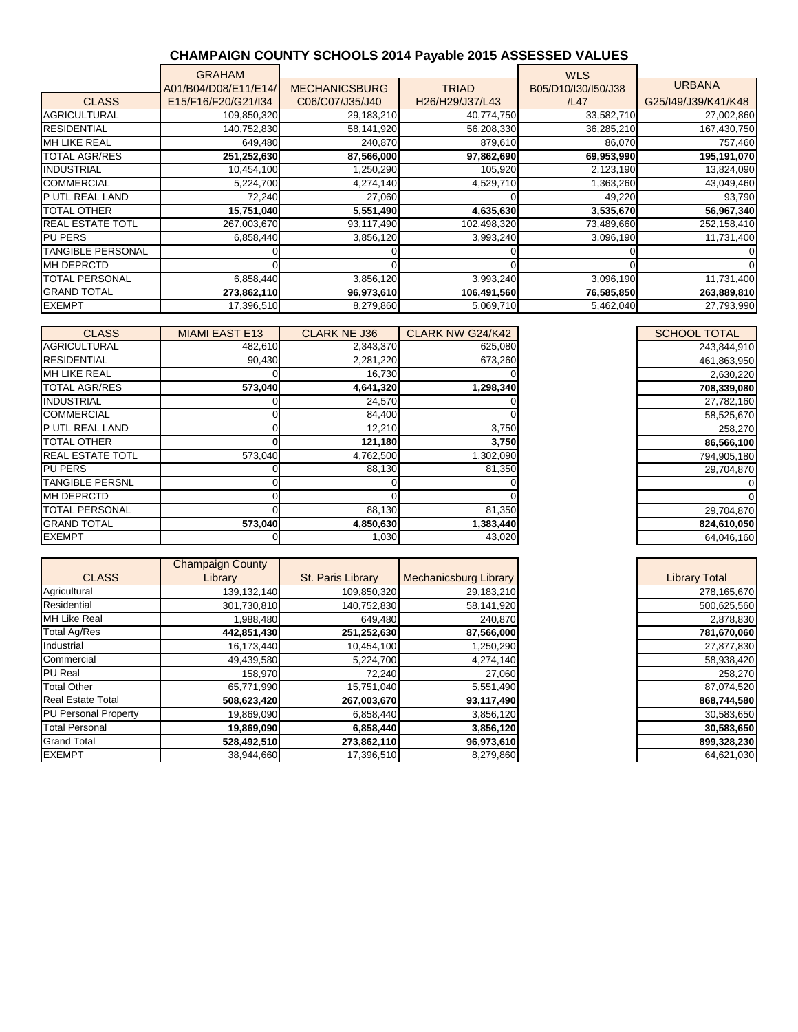## **CHAMPAIGN COUNTY SCHOOLS 2014 Payable 2015 ASSESSED VALUES**

|                          | <b>GRAHAM</b>        |                      |                 | <b>WLS</b>          |                     |
|--------------------------|----------------------|----------------------|-----------------|---------------------|---------------------|
|                          | A01/B04/D08/E11/E14/ | <b>MECHANICSBURG</b> | <b>TRIAD</b>    | B05/D10/I30/I50/J38 | <b>URBANA</b>       |
| <b>CLASS</b>             | E15/F16/F20/G21/I34  | C06/C07/J35/J40      | H26/H29/J37/L43 | /L47                | G25/I49/J39/K41/K48 |
| <b>AGRICULTURAL</b>      | 109,850,320          | 29,183,210           | 40,774,750      | 33,582,710          | 27,002,860          |
| <b>RESIDENTIAL</b>       | 140,752,830          | 58,141,920           | 56,208,330      | 36,285,210          | 167,430,750         |
| <b>MH LIKE REAL</b>      | 649,480              | 240,870              | 879,610         | 86,070              | 757,460             |
| <b>TOTAL AGR/RES</b>     | 251,252,630          | 87,566,000           | 97,862,690      | 69,953,990          | 195,191,070         |
| <b>INDUSTRIAL</b>        | 10,454,100           | 1,250,290            | 105,920         | 2,123,190           | 13,824,090          |
| <b>COMMERCIAL</b>        | 5,224,700            | 4,274,140            | 4,529,710       | 1,363,260           | 43,049,460          |
| P UTL REAL LAND          | 72,240               | 27,060               |                 | 49,220              | 93,790              |
| <b>TOTAL OTHER</b>       | 15,751,040           | 5,551,490            | 4,635,630       | 3,535,670           | 56,967,340          |
| <b>REAL ESTATE TOTL</b>  | 267,003,670          | 93,117,490           | 102,498,320     | 73,489,660          | 252,158,410         |
| <b>PU PERS</b>           | 6,858,440            | 3,856,120            | 3,993,240       | 3,096,190           | 11,731,400          |
| <b>TANGIBLE PERSONAL</b> |                      |                      |                 |                     |                     |
| <b>MH DEPRCTD</b>        |                      |                      |                 |                     |                     |
| <b>TOTAL PERSONAL</b>    | 6,858,440            | 3,856,120            | 3,993,240       | 3,096,190           | 11,731,400          |
| <b>GRAND TOTAL</b>       | 273,862,110          | 96,973,610           | 106,491,560     | 76,585,850          | 263,889,810         |
| <b>EXEMPT</b>            | 17,396,510           | 8,279,860            | 5,069,710       | 5,462,040           | 27,793,990          |

| <b>CLASS</b>            | <b>MIAMI EAST E13</b> | <b>CLARK NE J36</b> | CLARK NW G24/K42 | <b>SCHOOL TOTAL</b> |
|-------------------------|-----------------------|---------------------|------------------|---------------------|
| <b>AGRICULTURAL</b>     | 482,610               | 2,343,370           | 625,080          | 243,844,910         |
| <b>RESIDENTIAL</b>      | 90,430                | 2,281,220           | 673,260          | 461,863,950         |
| <b>MH LIKE REAL</b>     |                       | 16,730              |                  | 2,630,220           |
| <b>TOTAL AGR/RES</b>    | 573,040               | 4,641,320           | 1,298,340        | 708,339,080         |
| <b>INDUSTRIAL</b>       |                       | 24,570              |                  | 27,782,160          |
| <b>COMMERCIAL</b>       |                       | 84,400              |                  | 58,525,670          |
| <b>IP UTL REAL LAND</b> |                       | 12,210              | 3,750            | 258,270             |
| <b>TOTAL OTHER</b>      |                       | 121,180             | 3,750            | 86,566,100          |
| <b>REAL ESTATE TOTL</b> | 573,040               | 4,762,500           | 1,302,090        | 794,905,180         |
| <b>PU PERS</b>          |                       | 88,130              | 81,350           | 29,704,870          |
| <b>TANGIBLE PERSNL</b>  |                       |                     |                  |                     |
| <b>MH DEPRCTD</b>       |                       |                     |                  |                     |
| <b>TOTAL PERSONAL</b>   |                       | 88,130              | 81,350           | 29,704,870          |
| <b>GRAND TOTAL</b>      | 573,040               | 4,850,630           | 1,383,440        | 824,610,050         |
| <b>EXEMPT</b>           |                       | 1,030               | 43,020           | 64,046,160          |

|                             | <b>Champaign County</b> |                          |                       |                      |
|-----------------------------|-------------------------|--------------------------|-----------------------|----------------------|
| <b>CLASS</b>                | Library                 | <b>St. Paris Library</b> | Mechanicsburg Library | <b>Library Total</b> |
| Agricultural                | 139,132,140             | 109,850,320              | 29,183,210            | 278,165,670          |
| Residential                 | 301,730,810             | 140,752,830              | 58,141,920            | 500,625,560          |
| MH Like Real                | 1,988,480               | 649,480                  | 240,870               | 2,878,830            |
| Total Ag/Res                | 442,851,430             | 251,252,630              | 87,566,000            | 781,670,060          |
| Industrial                  | 16,173,440              | 10,454,100               | 1,250,290             | 27,877,830           |
| Commercial                  | 49,439,580              | 5,224,700                | 4,274,140             | 58,938,420           |
| PU Real                     | 158,970                 | 72,240                   | 27,060                | 258,270              |
| <b>Total Other</b>          | 65,771,990              | 15,751,040               | 5,551,490             | 87,074,520           |
| Real Estate Total           | 508,623,420             | 267,003,670              | 93,117,490            | 868,744,580          |
| <b>PU Personal Property</b> | 19,869,090              | 6,858,440                | 3,856,120             | 30,583,650           |
| <b>Total Personal</b>       | 19,869,090              | 6,858,440                | 3,856,120             | 30,583,650           |
| Grand Total                 | 528,492,510             | 273,862,110              | 96,973,610            | 899,328,230          |
| <b>EXEMPT</b>               | 38,944,660              | 17,396,510               | 8,279,860             | 64,621,030           |

| <b>SCHOOL TOTAL</b> |
|---------------------|
| 243,844,910         |
| 461,863,950         |
| 2,630,220           |
| 708,339,080         |
| 27,782,160          |
| 58,525,670          |
| 258,270             |
| 86,566,100          |
| 794,905,180         |
| 29,704,870          |
| 0                   |
| 0                   |
| 29,704,870          |
| 824,610,050         |
| 64 046 160          |

| Library Total |
|---------------|
| 278,165,670   |
| 500,625,560   |
| 2,878,830     |
| 781,670,060   |
| 27,877,830    |
| 58,938,420    |
| 258,270       |
| 87,074,520    |
| 868.744.580   |
| 30,583,650    |
| 30,583,650    |
| 899,328,230   |
| 64,621,030    |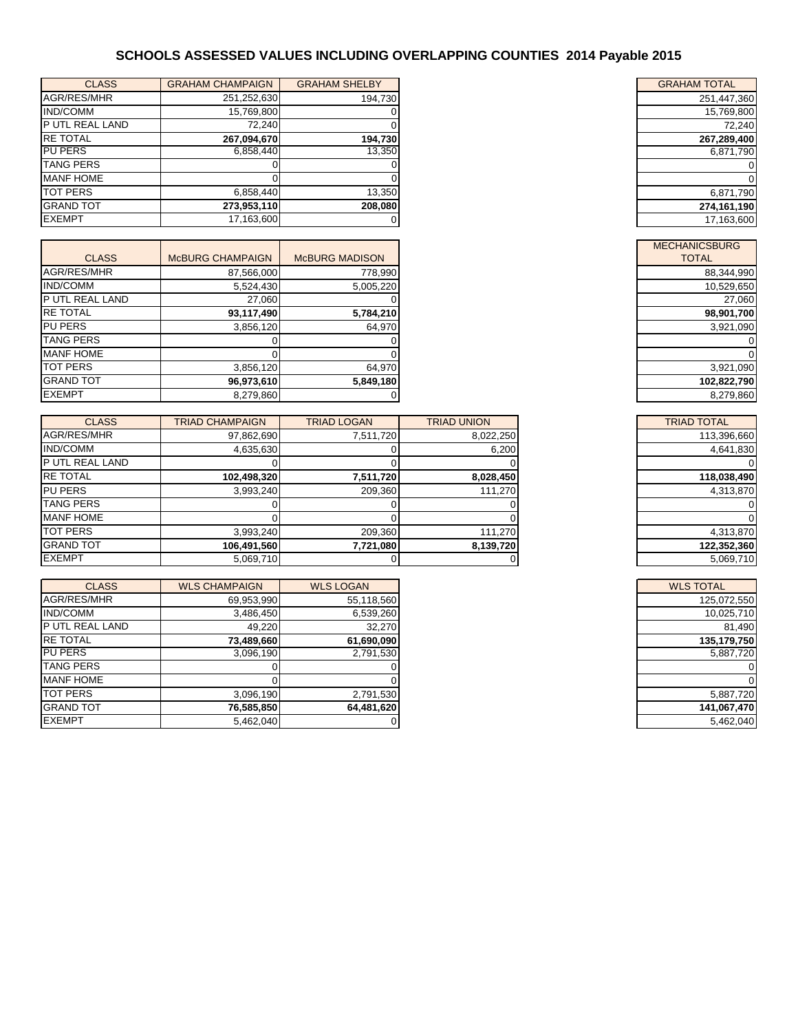# **SCHOOLS ASSESSED VALUES INCLUDING OVERLAPPING COUNTIES 2014 Payable 2015**

| <b>CLASS</b>     | <b>GRAHAM CHAMPAIGN</b> | <b>GRAHAM SHELBY</b> | <b>GRAHAM TOTAL</b> |
|------------------|-------------------------|----------------------|---------------------|
| AGR/RES/MHR      | 251,252,630             | 194,730              | 251,447,360         |
| <b>IND/COMM</b>  | 15,769,800              |                      | 15,769,800          |
| P UTL REAL LAND  | 72.240                  |                      | 72,240              |
| <b>RE TOTAL</b>  | 267,094,670             | 194,730              | 267,289,400         |
| <b>PU PERS</b>   | 6,858,440               | 13,350               | 6,871,790           |
| <b>TANG PERS</b> |                         |                      |                     |
| <b>MANF HOME</b> |                         |                      |                     |
| <b>TOT PERS</b>  | 6,858,440               | 13,350               | 6,871,790           |
| <b>GRAND TOT</b> | 273,953,110             | 208.080              | 274,161,190         |
| <b>EXEMPT</b>    | 17,163,600              |                      | 17,163,600          |

| <b>CLASS</b>          | <b>MCBURG CHAMPAIGN</b> | <b>McBURG MADISON</b> |
|-----------------------|-------------------------|-----------------------|
| AGR/RES/MHR           | 87,566,000              | 778,990               |
| <b>IND/COMM</b>       | 5,524,430               | 5,005,220             |
| <b>PUTL REAL LAND</b> | 27,060                  |                       |
| <b>RE TOTAL</b>       | 93,117,490              | 5,784,210             |
| <b>PU PERS</b>        | 3,856,120               | 64,970                |
| <b>TANG PERS</b>      |                         |                       |
| <b>MANF HOME</b>      |                         |                       |
| <b>TOT PERS</b>       | 3.856.120               | 64.970                |
| <b>GRAND TOT</b>      | 96,973,610              | 5,849,180             |
| <b>EXEMPT</b>         | 8,279,860               |                       |

| <b>CLASS</b>          | <b>TRIAD CHAMPAIGN</b> | <b>TRIAD LOGAN</b> | <b>TRIAD UNION</b> | <b>TRIAD TOTAL</b> |
|-----------------------|------------------------|--------------------|--------------------|--------------------|
| AGR/RES/MHR           | 97,862,690             | 7,511,720          | 8,022,250          | 113,396,660        |
| <b>IND/COMM</b>       | 4,635,630              |                    | 6,200              | 4,641,830          |
| <b>PUTL REAL LAND</b> |                        |                    |                    |                    |
| <b>RE TOTAL</b>       | 102,498,320            | 7,511,720          | 8,028,450          | 118,038,490        |
| <b>PU PERS</b>        | 3,993,240              | 209,360            | 111,270            | 4,313,870          |
| <b>TANG PERS</b>      |                        |                    |                    |                    |
| <b>MANF HOME</b>      |                        |                    |                    |                    |
| <b>TOT PERS</b>       | 3,993,240              | 209,360            | 111,270            | 4,313,870          |
| <b>GRAND TOT</b>      | 106,491,560            | 7,721,080          | 8,139,720          | 122,352,360        |
| <b>EXEMPT</b>         | 5,069,710              |                    |                    | 5,069,710          |

| <b>CLASS</b>     | <b>WLS CHAMPAIGN</b> | <b>WLS LOGAN</b> |
|------------------|----------------------|------------------|
| AGR/RES/MHR      | 69,953,990           | 55,118,560       |
| IND/COMM         | 3,486,450            | 6,539,260        |
| P UTL REAL LAND  | 49,220               | 32,270           |
| <b>RE TOTAL</b>  | 73,489,660           | 61,690,090       |
| <b>PU PERS</b>   | 3,096,190            | 2,791,530        |
| <b>TANG PERS</b> |                      |                  |
| <b>MANF HOME</b> |                      |                  |
| <b>TOT PERS</b>  | 3.096.190            | 2,791,530        |
| <b>GRAND TOT</b> | 76,585,850           | 64,481,620       |
| <b>EXEMPT</b>    | 5,462,040            |                  |

| <b>GRAHAM TOTAL</b> |
|---------------------|
| 251,447,360         |
| 15,769,800          |
| 72.240              |
| 267,289,400         |
| 6,871,790           |
|                     |
| Π                   |
| 6,871,790           |
| 274.161.190         |
| 17,163,600          |

| <b>MECHANICSBURG</b><br>TOTAL |
|-------------------------------|
| 88,344,990                    |
| 10,529,650                    |
| 27,060                        |
| 98,901,700                    |
| 3,921,090                     |
|                               |
|                               |
| 3,921,090                     |
| 102,822,790                   |
| 8.279.860                     |

| <b>TRIAD TOTAL</b> |
|--------------------|
| 113,396,660        |
| 4,641,830          |
|                    |
| 118,038,490        |
| 4,313,870          |
|                    |
|                    |
| 4,313,870          |
| 122,352,360        |
| 5,069,710          |

| <b>WLS TOTAL</b> |
|------------------|
| 125,072,550      |
| 10,025,710       |
| 81.490           |
| 135,179,750      |
| 5,887,720        |
|                  |
|                  |
| 5,887,720        |
| 141,067,470      |
| 5,462,040        |